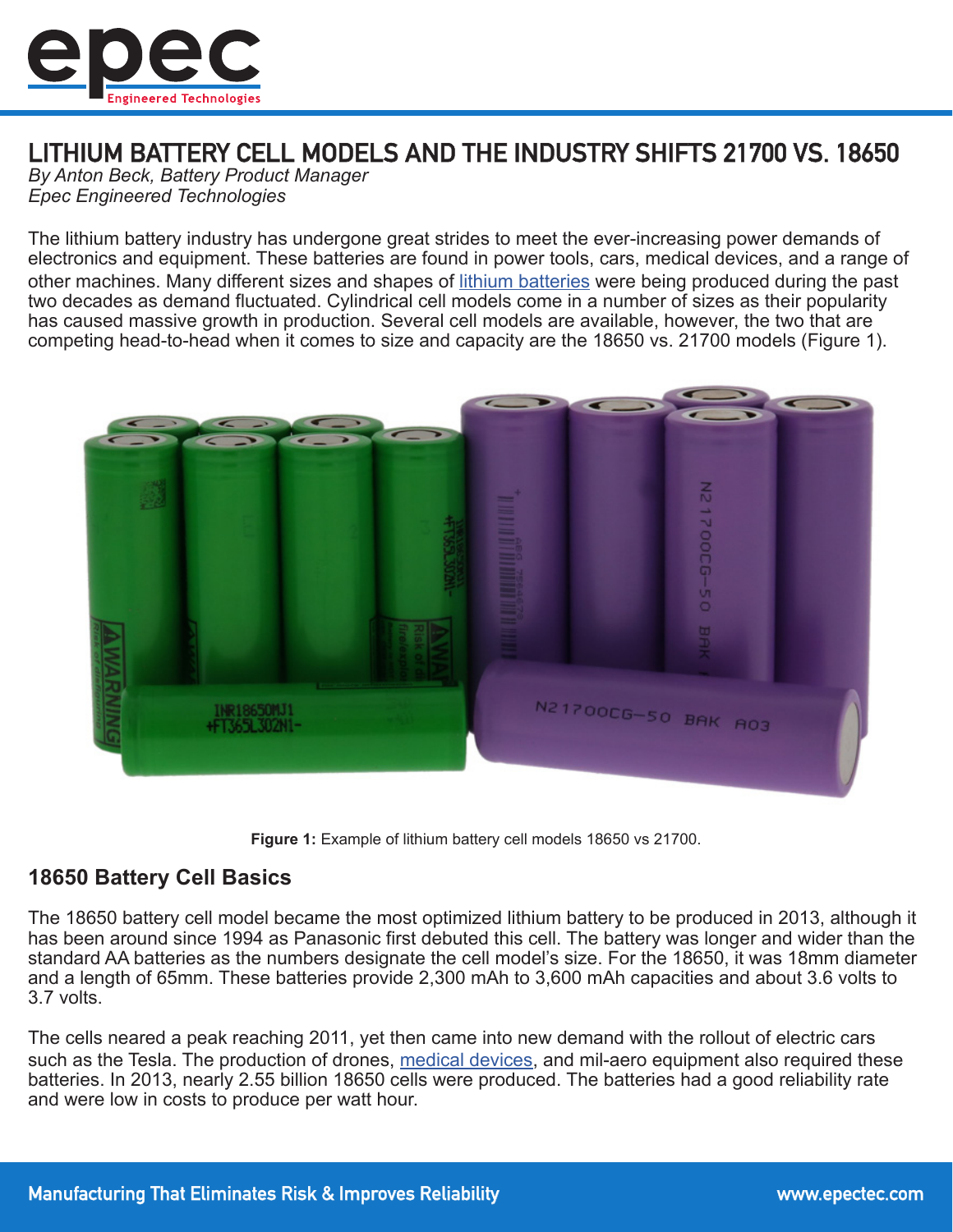

# LITHIUM BATTERY CELL MODELS AND THE INDUSTRY SHIFTS 21700 VS. 18650

*By Anton Beck, Battery Product Manager Epec Engineered Technologies*

The lithium battery industry has undergone great strides to meet the ever-increasing power demands of electronics and equipment. These batteries are found in power tools, cars, medical devices, and a range of other machines. Many different sizes and shapes of [lithium batteries](https://www.epectec.com/batteries/lithium-battery-technologies.html) were being produced during the past two decades as demand fluctuated. Cylindrical cell models come in a number of sizes as their popularity has caused massive growth in production. Several cell models are available, however, the two that are competing head-to-head when it comes to size and capacity are the 18650 vs. 21700 models (Figure 1).



**Figure 1:** Example of lithium battery cell models 18650 vs 21700.

## **18650 Battery Cell Basics**

The 18650 battery cell model became the most optimized lithium battery to be produced in 2013, although it has been around since 1994 as Panasonic first debuted this cell. The battery was longer and wider than the standard AA batteries as the numbers designate the cell model's size. For the 18650, it was 18mm diameter and a length of 65mm. These batteries provide 2,300 mAh to 3,600 mAh capacities and about 3.6 volts to 3.7 volts.

The cells neared a peak reaching 2011, yet then came into new demand with the rollout of electric cars such as the Tesla. The production of drones, [medical devices](https://www.epectec.com/batteries/battery-packs-for-medical-devices.html), and mil-aero equipment also required these batteries. In 2013, nearly 2.55 billion 18650 cells were produced. The batteries had a good reliability rate and were low in costs to produce per watt hour.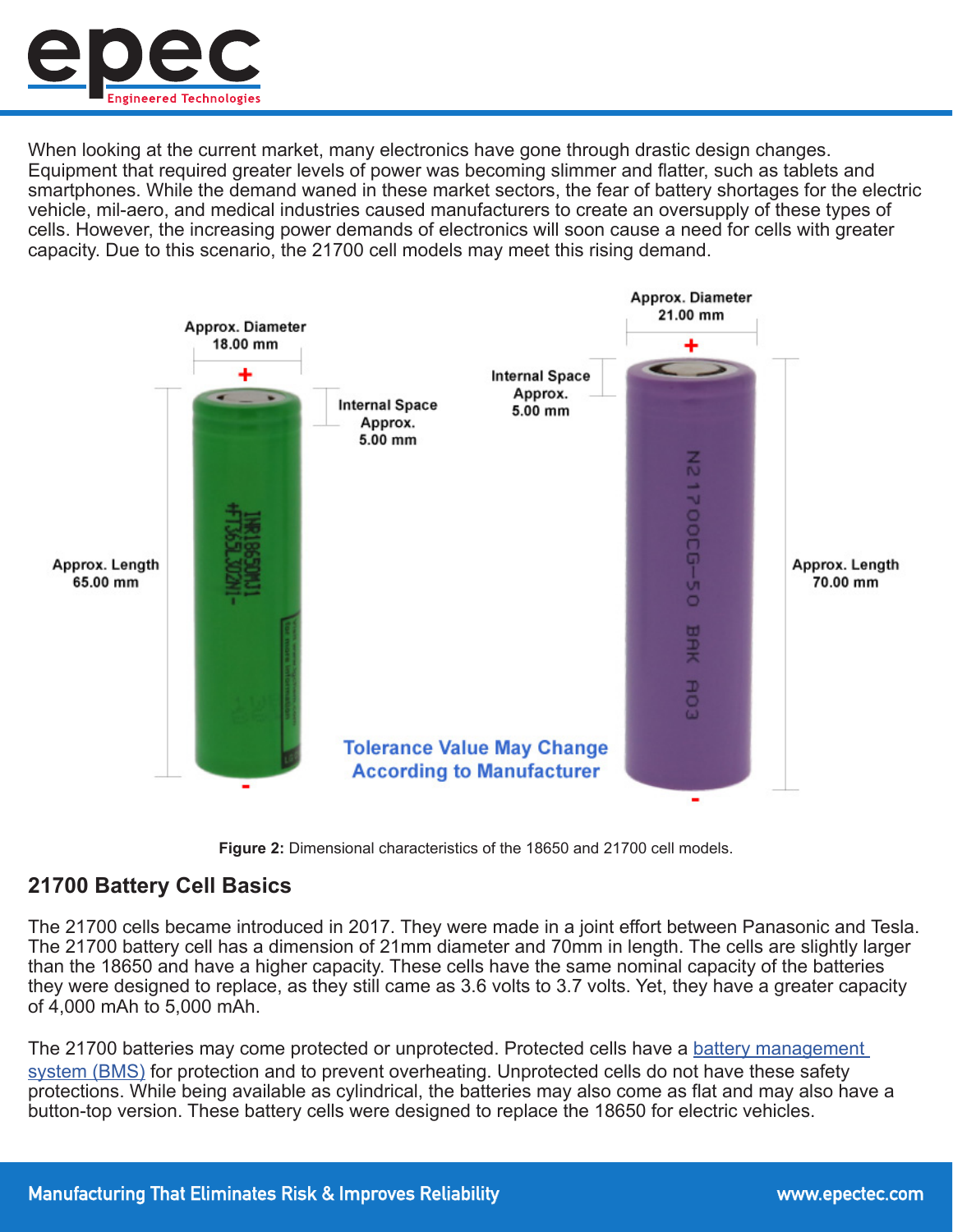

When looking at the current market, many electronics have gone through drastic design changes. Equipment that required greater levels of power was becoming slimmer and flatter, such as tablets and smartphones. While the demand waned in these market sectors, the fear of battery shortages for the electric vehicle, mil-aero, and medical industries caused manufacturers to create an oversupply of these types of cells. However, the increasing power demands of electronics will soon cause a need for cells with greater capacity. Due to this scenario, the 21700 cell models may meet this rising demand.





## **21700 Battery Cell Basics**

The 21700 cells became introduced in 2017. They were made in a joint effort between Panasonic and Tesla. The 21700 battery cell has a dimension of 21mm diameter and 70mm in length. The cells are slightly larger than the 18650 and have a higher capacity. These cells have the same nominal capacity of the batteries they were designed to replace, as they still came as 3.6 volts to 3.7 volts. Yet, they have a greater capacity of 4,000 mAh to 5,000 mAh.

The 21700 batteries may come protected or unprotected. Protected cells have a battery management [system \(BMS\)](https://www.epectec.com/batteries/battery-management-systems.html) for protection and to prevent overheating. Unprotected cells do not have these safety protections. While being available as cylindrical, the batteries may also come as flat and may also have a button-top version. These battery cells were designed to replace the 18650 for electric vehicles.